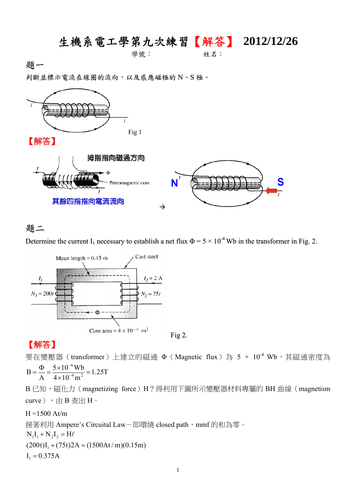# 生機系電工學第九次練習【解答】 **2012/12/26**

學號: 姓名:

題一

判斷並標示電流在線圈的流向,以及感應磁極的 N、S 極。



#### 題二

Determine the current I<sub>1</sub> necessary to establish a net flux  $\Phi = 5 \times 10^{-4}$  Wb in the transformer in Fig. 2.



## 【解答】

要在變壓器(transformer)上建立的磁通 Φ (Magnetic flux)為 5 × 10<sup>-4</sup> Wb,其磁通密度為 4

1.25T  $4\times 10^{-4}$  m  $5\times 10^{-4}$  Wb  $B = \frac{Q}{A} = \frac{3 \times 10^{-4} \text{ m}}{4 \times 10^{-4} \text{ m}^2}$  $=\frac{\Phi}{A} = \frac{5 \times 10^{-4} Wb}{4 \times 10^{-4} m^2} =$ 

B 已知,磁化力(magnetizing force)H?得利用下圖所示變壓器材料專屬的 BH 曲線 (magnetism curve),由 B 查出 H。

## $H = 1500$  At/m 接著利用 Ampere's Circuital Law-即環繞 closed path, mmf 的和為零。  $I_1 = 0.375A$  $(200t)I_1 + (75t)2A = (1500At/m)(0.15m)$  $N_1I_1 + N_2I_2 = H\ell$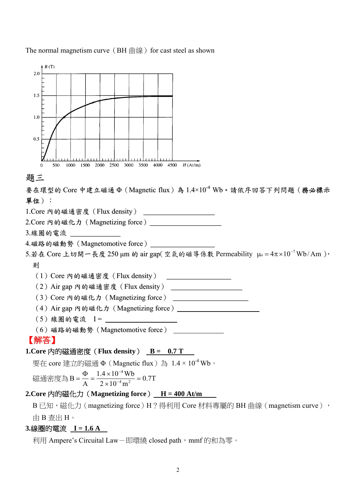



#### 題三

要在環型的 Core 中建立磁通  $\Phi$  (Magnetic flux)為  $1.4 \times 10^{-4}$  Wb。請依序回答下列問題(務必標示 單位):

1.Core 內的磁通密度(Flux density) <u>and the community of the community of the community of the community of the community of the community of the community of the community of the community of the community of the community of the community of the community</u>

2.Core 內的磁化力(Magnetizing force)

3.線圈的電流

```
4.磁路的磁動勢(Magnetomotive force)
```
5.若在 Core 上切開一長度 250 μm 的 air gap(空氣的磁導係數 Permeability μo =  $4\pi \times 10^{-7}$  Wb/Am ),

#### 則

(1)Core 內的磁通密度(Flux density)

(2)Air gap 內的磁通密度(Flux density)

(3)Core 內的磁化力(Magnetizing force)

- (4) Air gap 內的磁化力 (Magnetizing force) \_\_\_\_\_\_\_\_\_\_\_
- $(5)$  線圈的電流  $I =$

(6)磁路的磁動勢(Magnetomotive force)

### 【解答】

**1.Core** 內的磁通密度(**Flux density**) **B = 0.7 T** 

要在 core 建立的磁通 Φ(Magnetic flux)為 1.4 × 10-4 Wb。

$$
\text{ 灃通密度為 B} = \frac{\Phi}{A} = \frac{1.4 \times 10^{-4} \text{Wb}}{2 \times 10^{-4} \text{m}^2} = 0.7 \text{T}
$$

### 2.Core 內的磁化力 (Magnetizing force)  $_H = 400$  At/m

B 已知,磁化力(magnetizing force)H?得利用 Core 材料專屬的 BH 曲線(magnetism curve), 由 B 查出 H。

#### **3.**線圈的電流 **I = 1.6 A**

利用 Ampere's Circuital Law-即環繞 closed path, mmf 的和為零。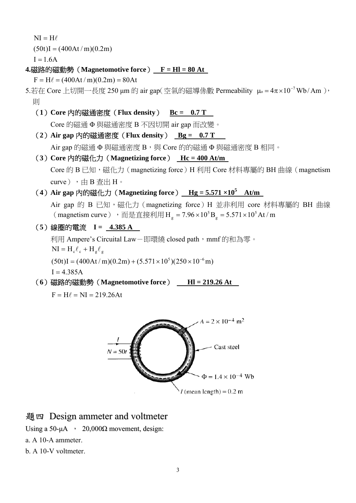$NI = H\ell$ 

 $(50t)I = (400At/m)(0.2m)$ 

 $I = 1.6A$ 

**4.**磁路的磁動勢(**Magnetomotive force**) **F = Hl = 80 At** 

 $F = H\ell = (400At/m)(0.2m) = 80At$ 

- 5.若在 Core 上切開一長度 250 μm 的 air gap(空氣的磁導係數 Permeability μo =  $4\pi \times 10^{-7}$ Wb/Am), 則
	- (**1**)**Core** 內的磁通密度(**Flux density**) **Bc = 0.7 T**

Core 的磁通 Φ 與磁通密度 B 不因切開 air gap 而改變。

(**2**)**Air gap** 內的磁通密度(**Flux density**) **Bg = 0.7 T** 

Air gap 的磁通  $\Phi$  與磁通密度  $B$ , 與 Core 的的磁通  $\Phi$  與磁通密度  $B$  相同。

- (**3**)**Core** 內的磁化力(**Magnetizing force**) **Hc = 400 At/m**  Core 的 B 已知,磁化力 (magnetizing force) H 利用 Core 材料專屬的 BH 曲線 (magnetism curve), 中 B 查出 H。
- (4) Air gap 内的磁化力 (Magnetizing force)  $Hg = 5.571 \times 10^5$  At/m

Air gap 的 B 已知,磁化力 (magnetizing force) H 並非利用 core 材料專屬的 BH 曲線 (magnetism curve), 而是直接利用 H<sub>g</sub> =  $7.96 \times 10^5$  B<sub>g</sub> =  $5.571 \times 10^5$  At / m  $_{\rm g}$  = 7.96 × 10<sup>5</sup> B<sub>g</sub> = 5.571 ×

(**5**)線圈的電流 **I = 4.385 A** 

利用 Ampere's Circuital Law-即環繞 closed path, mmf 的和為零。  $NI = H_c \ell_c + H_g \ell_g$ 

 $(50t)I = (400At/m)(0.2m) + (5.571 \times 10^5)(250 \times 10^{-6} m)$ 

 $I = 4.385A$ 

(**6**)磁路的磁動勢(**Magnetomotive force**) **Hl = 219.26 At** 

 $F = H\ell = NI = 219.26At$ 



## 題四 Design ammeter and voltmeter

Using a 50-μA  $\cdot$  20,000 $\Omega$  movement, design:

- a. A 10-A ammeter.
- b. A 10-V voltmeter.